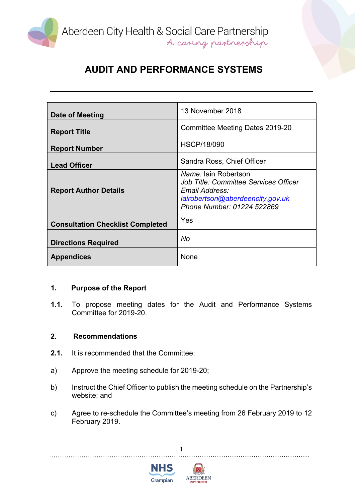

| Date of Meeting                         | 13 November 2018                                                                                                                                                |
|-----------------------------------------|-----------------------------------------------------------------------------------------------------------------------------------------------------------------|
| <b>Report Title</b>                     | Committee Meeting Dates 2019-20                                                                                                                                 |
| <b>Report Number</b>                    | <b>HSCP/18/090</b>                                                                                                                                              |
| <b>Lead Officer</b>                     | Sandra Ross, Chief Officer                                                                                                                                      |
| <b>Report Author Details</b>            | <i>Name:</i> Iain Robertson<br><b>Job Title: Committee Services Officer</b><br>Email Address:<br>iairobertson@aberdeencity.gov.uk<br>Phone Number: 01224 522869 |
| <b>Consultation Checklist Completed</b> | Yes                                                                                                                                                             |
| <b>Directions Required</b>              | No                                                                                                                                                              |
| <b>Appendices</b>                       | None                                                                                                                                                            |

### **1. Purpose of the Report**

**1.1.** To propose meeting dates for the Audit and Performance Systems Committee for 2019-20.

#### **2. Recommendations**

- **2.1.** It is recommended that the Committee:
- a) Approve the meeting schedule for 2019-20;
- b) Instruct the Chief Officer to publish the meeting schedule on the Partnership's website; and
- c) Agree to re-schedule the Committee's meeting from 26 February 2019 to 12 February 2019.

1



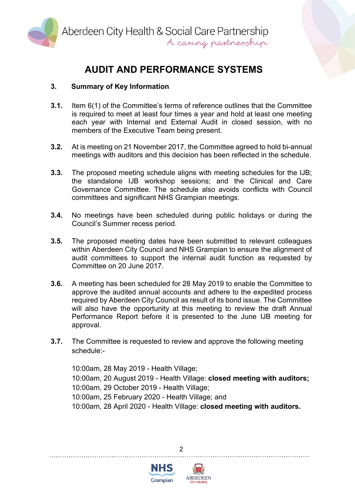

### **3. Summary of Key Information**

- **3.1.** Item 6(1) of the Committee's terms of reference outlines that the Committee is required to meet at least four times a year and hold at least one meeting each year with Internal and External Audit in closed session, with no members of the Executive Team being present.
- **3.2.** At is meeting on 21 November 2017, the Committee agreed to hold bi-annual meetings with auditors and this decision has been reflected in the schedule.
- **3.3.** The proposed meeting schedule aligns with meeting schedules for the IJB; the standalone IJB workshop sessions; and the Clinical and Care Governance Committee. The schedule also avoids conflicts with Council committees and significant NHS Grampian meetings.
- **3.4.** No meetings have been scheduled during public holidays or during the Council's Summer recess period.
- **3.5.** The proposed meeting dates have been submitted to relevant colleagues within Aberdeen City Council and NHS Grampian to ensure the alignment of audit committees to support the internal audit function as requested by Committee on 20 June 2017.
- **3.6.** A meeting has been scheduled for 28 May 2019 to enable the Committee to approve the audited annual accounts and adhere to the expedited process required by Aberdeen City Council as result of its bond issue. The Committee will also have the opportunity at this meeting to review the draft Annual Performance Report before it is presented to the June IJB meeting for approval.
- **3.7.** The Committee is requested to review and approve the following meeting schedule:-

10:00am, 28 May 2019 - Health Village; 10:00am, 20 August 2019 - Health Village: **closed meeting with auditors;** 10:00am, 29 October 2019 - Health Village; 10:00am, 25 February 2020 - Health Village; and 10:00am, 28 April 2020 - Health Village: **closed meeting with auditors.**





 $\mathfrak{p}$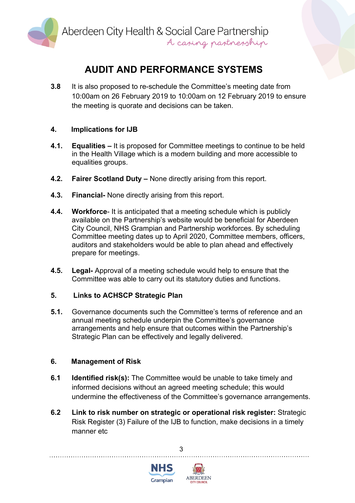

**3.8** It is also proposed to re-schedule the Committee's meeting date from 10:00am on 26 February 2019 to 10:00am on 12 February 2019 to ensure the meeting is quorate and decisions can be taken.

### **4. Implications for IJB**

- **4.1. Equalities –** It is proposed for Committee meetings to continue to be held in the Health Village which is a modern building and more accessible to equalities groups.
- **4.2. Fairer Scotland Duty –** None directly arising from this report.
- **4.3. Financial-** None directly arising from this report.
- **4.4. Workforce** It is anticipated that a meeting schedule which is publicly available on the Partnership's website would be beneficial for Aberdeen City Council, NHS Grampian and Partnership workforces. By scheduling Committee meeting dates up to April 2020, Committee members, officers, auditors and stakeholders would be able to plan ahead and effectively prepare for meetings.
- **4.5. Legal-** Approval of a meeting schedule would help to ensure that the Committee was able to carry out its statutory duties and functions.

#### **5. Links to ACHSCP Strategic Plan**

**5.1.** Governance documents such the Committee's terms of reference and an annual meeting schedule underpin the Committee's governance arrangements and help ensure that outcomes within the Partnership's Strategic Plan can be effectively and legally delivered.

#### **6. Management of Risk**

- **6.1 Identified risk(s):** The Committee would be unable to take timely and informed decisions without an agreed meeting schedule; this would undermine the effectiveness of the Committee's governance arrangements.
- **6.2 Link to risk number on strategic or operational risk register:** Strategic Risk Register (3) Failure of the IJB to function, make decisions in a timely manner etc.

3